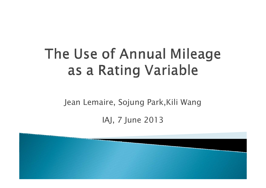# The Use of Annual Mileage as a Rating Variable

Jean Lemaire, Sojung Park,Kili Wang

IAJ, 7 June 2013

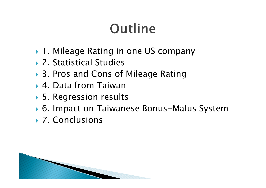# Outline

- ▶ 1. Mileage Rating in one US company
- ▶ 2. Statistical Studies
- ▶ 3. Pros and Cons of Mileage Rating
- 4. Data from Taiwan
- ▶ 5. Regression results
- 6. Impact on Taiwanese Bonus-Malus System
- ▶ 7. Conclusions

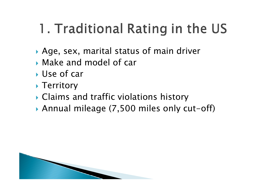# 1. Traditional Rating in the US

- Age, sex, marital status of main driver
- Make and model of car
- Use of car
- ▶ Territory
- Claims and traffic violations history
- Annual mileage (7,500 miles only cut-off)

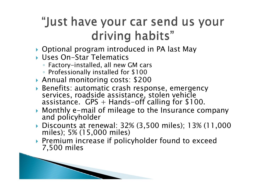### "Just have your car send us your driving habits"

- Optional program introduced in PA last May
- Uses On-Star Telematics

and the contract of the contract of

- Factory-installed, all new GM cars
- Professionally installed for \$100
- Annual monitoring costs: \$200
- Benefits: automatic crash response, emergency services, roadside assistance, stolen vehicle assistance.  $GPS +$  Hands-off calling for \$100.
- Monthly e-mail of mileage to the Insurance company and policyholder
- Discounts at renewal: 32% (3,500 miles); 13% (11,000 miles); 5% (15,000 miles)
- ▶ Premium increase if policyholder found to exceed 7,500 miles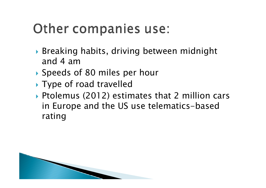## Other companies use:

- Breaking habits, driving between midnight and 4 am
- Speeds of 80 miles per hour
- ▶ Type of road travelled
- Ptolemus (2012) estimates that 2 million cars in Europe and the US use telematics-based rating

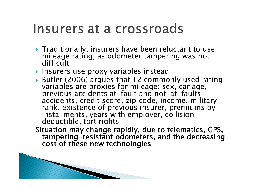### Insurers at a crossroads

- Traditionally, insurers have been reluctant to use mileage rating, as odometer tampering was not difficult
- ▶ Insurers use proxy variables instead
- Butler (2006) argues that 12 commonly used rating variables are proxies for mileage: sex, car age, previous accidents at-fault and not-at-faults accidents, credit score, zip code, income, military rank, existence of previous insurer, premiums by installments, years with employer, collision deductible, tort rights
- Situation may change rapidly, due to telematics, GPS, tampering-resistant odometers, and the decreasing cost of these new technologies

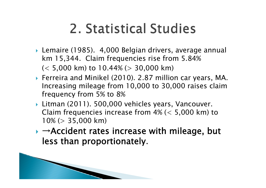## 2. Statistical Studies

- Lemaire (1985). 4,000 Belgian drivers, average annual km 15,344. Claim frequencies rise from 5.84%  $(< 5,000$  km) to  $10.44\%$  ( $> 30,000$  km)
- Ferreira and Minikel (2010). 2.87 million car years, MA. Increasing mileage from 10,000 to 30,000 raises claim frequency from 5% to 8%
- Litman (2011). 500,000 vehicles years, Vancouver. Claim frequencies increase from 4% (< 5,000 km) to  $10\%$  ( $> 35,000$  km)
- $\rightarrow \rightarrow$  Accident rates increase with mileage, but less than proportionately.

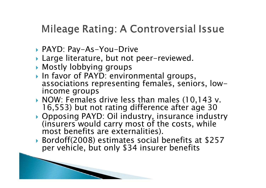### **Mileage Rating: A Controversial Issue**

- PAYD: Pay-As-You-Drive
- Large literature, but not peer-reviewed.
- Mostly lobbying groups

and the contract of the contract of

- In favor of PAYD: environmental groups, associations representing females, seniors, lowincome groups
- ▶ NOW: Females drive less than males (10,143 v. 16,553) but not rating difference after age 30
- Opposing PAYD: Oil industry, insurance industry (insurers would carry most of the costs, while most benefits are externalities).
- Bordoff(2008) estimates social benefits at \$257 per vehicle, but only \$34 insurer benefits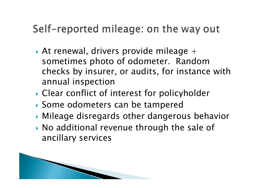### Self-reported mileage: on the way out

- $\blacktriangleright$  At renewal, drivers provide mileage  $+$ sometimes photo of odometer. Random checks by insurer, or audits, for instance with annual inspection
- Clear conflict of interest for policyholder
- Some odometers can be tampered
- Mileage disregards other dangerous behavior
- No additional revenue through the sale of ancillary services

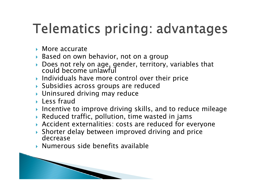## **Telematics pricing: advantages**

- ▶ More accurate
- Based on own behavior, not on a group
- $\blacktriangleright$ Does not rely on age, gender, territory, variables that could become unlawful
- **Individuals have more control over their price**
- Subsidies across groups are reduced
- Uninsured driving may reduce
- **Less fraud**
- Incentive to improve driving skills, and to reduce mileage
- $\blacktriangleright$  Reduced traffic, pollution, time wasted in jams
- Accident externalities: costs are reduced for everyone
- Shorter delay between improved driving and price decrease
- $\blacktriangleright$  Numerous side benefits available

**RESERVED**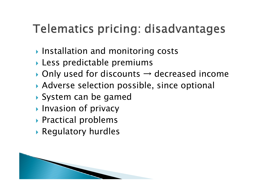## Telematics pricing: disadvantages

- **Installation and monitoring costs**
- Less predictable premiums
- $\rightarrow$  Only used for discounts  $\rightarrow$  decreased income
- Adverse selection possible, since optional
- System can be gamed
- **Invasion of privacy**
- Practical problems
- Regulatory hurdles

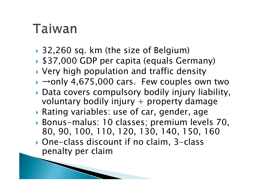## Taiwan

- 32,260 sq. km (the size of Belgium)
- \$37,000 GDP per capita (equals Germany)
- Very high population and traffic density
- $\rightarrow$   $\rightarrow$ only 4,675,000 cars. Few couples own two
- Data covers compulsory bodily injury liability, voluntary bodily injury  $+$  property damage
- Rating variables: use of car, gender, age
- Bonus-malus: 10 classes; premium levels 70, 80, 90, 100, 110, 120, 130, 140, 150, 160
- One-class discount if no claim, 3-class penalty per claim

and the contract of the contract of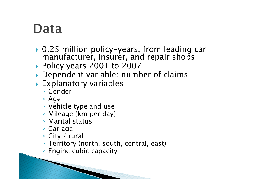## Data

- 0.25 million policy-years, from leading car manufacturer, insurer, and repair shops
- Policy years 2001 to 2007
- Dependent variable: number of claims
- Explanatory variables
	- Gender
	- Age
	- Vehicle type and use
	- Mileage (km per day)
	- Marital status
	- Car age
	- City / rural
	- Territory (north, south, central, east)
	- Engine cubic capacity

**Contractor**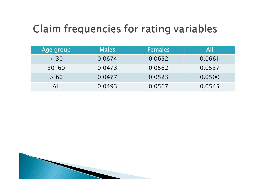### Claim frequencies for rating variables

| Age group | <b>Males</b> | <b>Females</b> | All    |
|-----------|--------------|----------------|--------|
| $<$ 30    | 0.0674       | 0.0652         | 0.0661 |
| $30 - 60$ | 0.0473       | 0.0562         | 0.0537 |
| > 60      | 0.0477       | 0.0523         | 0.0500 |
| All       | 0.0493       | 0.0567         | 0.0545 |

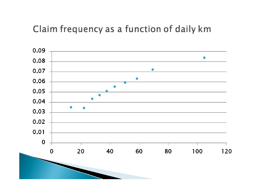#### Claim frequency as a function of daily km

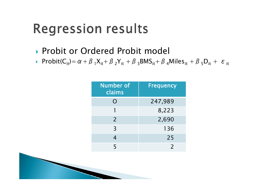## **Regression results**

- **Probit or Ordered Probit model**
- Probit( $C_{it}$ )=α+β<sub>1</sub>X<sub>it</sub> +β<sub>2</sub>Y<sub>it</sub> +β<sub>3</sub>BMS<sub>it</sub> +β<sub>4</sub>Miles<sub>it</sub> +β<sub>5</sub>D<sub>it</sub> + ε<sub>it</sub>

| <b>Number of</b><br>claims | <b>Frequency</b> |
|----------------------------|------------------|
|                            | 247,989          |
|                            | 8,223            |
| 2                          | 2,690            |
| $\overline{3}$             | 136              |
| 4                          | 25               |
| 5                          |                  |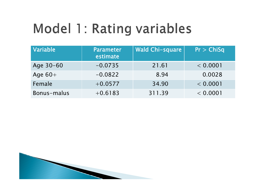# Model 1: Rating variables

| Variable    | <b>Parameter</b><br>estimate | <b>Wald Chi-square</b> | Pr > ChiSq |
|-------------|------------------------------|------------------------|------------|
| Age 30-60   | $-0.0735$                    | 21.61                  | < 0.0001   |
| Age $60+$   | $-0.0822$                    | 8.94                   | 0.0028     |
| Female      | $+0.0577$                    | 34.90                  | < 0.0001   |
| Bonus-malus | $+0.6183$                    | 311.39                 | < 0.0001   |

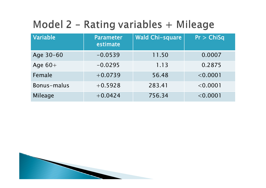### Model 2 - Rating variables + Mileage

| Variable    | <b>Parameter</b><br>estimate | <b>Wald Chi-square</b> | Pr > ChiSq |
|-------------|------------------------------|------------------------|------------|
| Age 30-60   | $-0.0539$                    | 11.50                  | 0.0007     |
| Age $60+$   | $-0.0295$                    | 1.13                   | 0.2875     |
| Female      | $+0.0739$                    | 56.48                  | < 0.0001   |
| Bonus-malus | $+0.5928$                    | 283.41                 | < 0.0001   |
| Mileage     | $+0.0424$                    | 756.34                 | < 0.0001   |

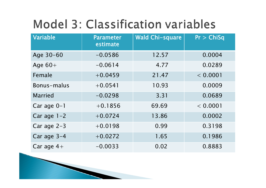## **Model 3: Classification variables**

| Variable       | <b>Parameter</b><br>estimate | <b>Wald Chi-square</b> | Pr > ChiSq |
|----------------|------------------------------|------------------------|------------|
| Age 30-60      | $-0.0586$                    | 12.57                  | 0.0004     |
| Age $60+$      | $-0.0614$                    | 4.77                   | 0.0289     |
| Female         | $+0.0459$                    | 21.47                  | < 0.0001   |
| Bonus-malus    | $+0.0541$                    | 10.93                  | 0.0009     |
| <b>Married</b> | $-0.0298$                    | 3.31                   | 0.0689     |
| Car age 0-1    | $+0.1856$                    | 69.69                  | < 0.0001   |
| Car age $1-2$  | $+0.0724$                    | 13.86                  | 0.0002     |
| Car age 2-3    | $+0.0198$                    | 0.99                   | 0.3198     |
| Car age 3-4    | $+0.0272$                    | 1.65                   | 0.1986     |
| Car age $4+$   | $-0.0033$                    | 0.02                   | 0.8883     |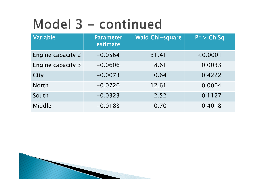# Model 3 - continued

| Variable                 | <b>Parameter</b><br>estimate | <b>Wald Chi-square</b> | Pr > ChiSq |
|--------------------------|------------------------------|------------------------|------------|
| <b>Engine capacity 2</b> | $-0.0564$                    | 31.41                  | < 0.0001   |
| Engine capacity 3        | $-0.0606$                    | 8.61                   | 0.0033     |
| City                     | $-0.0073$                    | 0.64                   | 0.4222     |
| <b>North</b>             | $-0.0720$                    | 12.61                  | 0.0004     |
| South                    | $-0.0323$                    | 2.52                   | 0.1127     |
| Middle                   | $-0.0183$                    | 0.70                   | 0.4018     |

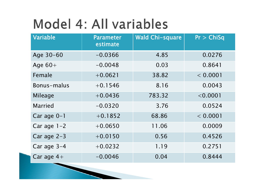## Model 4: All variables

| Variable       | <b>Parameter</b><br>estimate | <b>Wald Chi-square</b> | Pr > ChiSq |
|----------------|------------------------------|------------------------|------------|
| Age 30-60      | $-0.0366$                    | 4.85                   | 0.0276     |
| Age $60+$      | $-0.0048$                    | 0.03                   | 0.8641     |
| Female         | $+0.0621$                    | 38.82                  | < 0.0001   |
| Bonus-malus    | $+0.1546$                    | 8.16                   | 0.0043     |
| Mileage        | $+0.0436$                    | 783.32                 | < 0.0001   |
| <b>Married</b> | $-0.0320$                    | 3.76                   | 0.0524     |
| Car age 0-1    | $+0.1852$                    | 68.86                  | < 0.0001   |
| Car age $1-2$  | $+0.0650$                    | 11.06                  | 0.0009     |
| Car age 2-3    | $+0.0150$                    | 0.56                   | 0.4526     |
| Car age 3-4    | $+0.0232$                    | 1.19                   | 0.2751     |
| Car age $4+$   | $-0.0046$                    | 0.04                   | 0.8444     |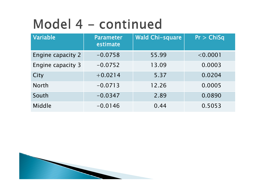# Model 4 - continued

| Variable                 | <b>Parameter</b><br>estimate | <b>Wald Chi-square</b> | Pr > ChiSq |
|--------------------------|------------------------------|------------------------|------------|
| <b>Engine capacity 2</b> | $-0.0758$                    | 55.99                  | < 0.0001   |
| Engine capacity 3        | $-0.0752$                    | 13.09                  | 0.0003     |
| City                     | $+0.0214$                    | 5.37                   | 0.0204     |
| <b>North</b>             | $-0.0713$                    | 12.26                  | 0.0005     |
| South                    | $-0.0347$                    | 2.89                   | 0.0890     |
| Middle                   | $-0.0146$                    | 0.44                   | 0.5053     |

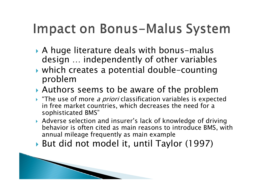## Impact on Bonus-Malus System

- A huge literature deals with bonus-malus design … independently of other variables
- which creates a potential double-counting problem
- Authors seems to be aware of the problem
- $\blacktriangleright$  "The use of more *a priori* classification variables is expected in free market countries, which decreases the need for a sophisticated BMS"
- Adverse selection and insurer's lack of knowledge of driving behavior is often cited as main reasons to introduce BMS, with annual mileage frequently as main example
- But did not model it, until Taylor (1997)

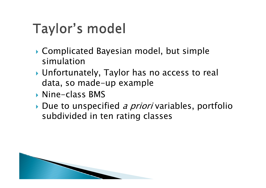# Taylor's model

- Complicated Bayesian model, but simple simulation
- Unfortunately, Taylor has no access to real data, so made-up example
- Nine-class BMS
- Due to unspecified *a priori* variables, portfolio subdivided in ten rating classes

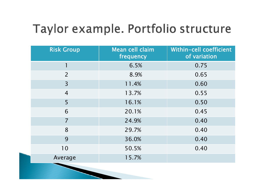## Taylor example. Portfolio structure

| <b>Risk Group</b> | Mean cell claim<br>frequency | Within-cell coefficient<br>of variation |
|-------------------|------------------------------|-----------------------------------------|
|                   | 6.5%                         | 0.75                                    |
| $\overline{2}$    | 8.9%                         | 0.65                                    |
| $\overline{3}$    | 11.4%                        | 0.60                                    |
| $\overline{4}$    | 13.7%                        | 0.55                                    |
| 5                 | 16.1%                        | 0.50                                    |
| 6                 | 20.1%                        | 0.45                                    |
| $\overline{7}$    | 24.9%                        | 0.40                                    |
| 8                 | 29.7%                        | 0.40                                    |
| 9                 | 36.0%                        | 0.40                                    |
| 10                | 50.5%                        | 0.40                                    |
| Average           | 15.7%                        |                                         |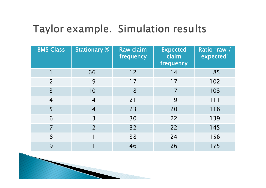### Taylor example. Simulation results

| <b>BMS Class</b> | <b>Stationary %</b> | Raw claim<br>frequency | <b>Expected</b><br>claim<br>frequency | Ratio "raw /<br>expected" |
|------------------|---------------------|------------------------|---------------------------------------|---------------------------|
|                  | 66                  | 12                     | 14                                    | 85                        |
| $\overline{2}$   | 9                   | 17                     | 17                                    | 102                       |
| 3                | 10                  | 18                     | 17                                    | 103                       |
| $\overline{4}$   | $\overline{4}$      | 21                     | 19                                    | 111                       |
| 5                | $\overline{4}$      | 23                     | 20                                    | 116                       |
| 6                | $\overline{3}$      | 30                     | 22                                    | 139                       |
| 7                | $\overline{2}$      | 32                     | 22                                    | 145                       |
| 8                |                     | 38                     | 24                                    | 156                       |
| 9                |                     | 46                     | 26                                    | 175                       |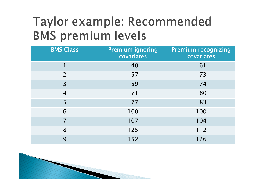## Taylor example: Recommended **BMS premium levels**

| <b>BMS Class</b> | <b>Premium ignoring</b><br>covariates | <b>Premium recognizing</b><br>covariates |
|------------------|---------------------------------------|------------------------------------------|
|                  | 40                                    | 61                                       |
| $\overline{2}$   | 57                                    | 73                                       |
| $\overline{3}$   | 59                                    | 74                                       |
| $\overline{4}$   | 71                                    | 80                                       |
| 5                | 77                                    | 83                                       |
| 6                | 100                                   | 100                                      |
| $\overline{7}$   | 107                                   | 104                                      |
| 8                | 125                                   | 112                                      |
| 9                | 152                                   | 126                                      |

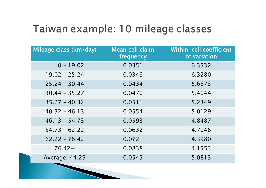### Taiwan example: 10 mileage classes

| Mileage class (km/day) | Mean cell claim<br>frequency | Within-cell coefficient<br>of variation |
|------------------------|------------------------------|-----------------------------------------|
| $0 - 19.02$            | 0.0351                       | 6.3532                                  |
| $19.02 - 25.24$        | 0.0346                       | 6.3280                                  |
| $25.24 - 30.44$        | 0.0434                       | 5.6873                                  |
| $30.44 - 35.27$        | 0.0470                       | 5.4044                                  |
| $35.27 - 40.32$        | 0.0511                       | 5.2349                                  |
| $40.32 - 46.13$        | 0.0554                       | 5.0129                                  |
| $46.13 - 54.73$        | 0.0593                       | 4.8487                                  |
| $54.73 - 62.22$        | 0.0632                       | 4.7046                                  |
| $62.22 - 76.42$        | 0.0721                       | 4.3980                                  |
| $76.42 +$              | 0.0838                       | 4.1553                                  |
| Average: 44.29         | 0.0545                       | 5.0813                                  |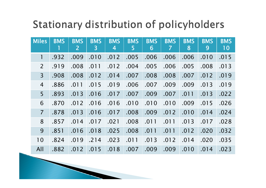### **Stationary distribution of policyholders**

| <b>Miles</b>   | <b>BMS</b> | <b>BMS</b><br>$\overline{2}$ | <b>BMS</b><br>$\mathbf{3}$ | <b>BMS</b><br>$\overline{4}$ | <b>BMS</b><br>5 | <b>BMS</b><br>6 | <b>BMS</b><br>7 | <b>BMS</b><br>8 | <b>BMS</b><br>9 | <b>BMS</b><br>10 |
|----------------|------------|------------------------------|----------------------------|------------------------------|-----------------|-----------------|-----------------|-----------------|-----------------|------------------|
| 1              | .932       | .009                         | .010                       | .012                         | .005            | .006            | .006            | .006            | .010            | .015             |
| $\overline{2}$ | .919       | .008                         | .011                       | .012                         | .004            | .005            | .006            | .005            | .008            | .013             |
| $\overline{3}$ | .908       | .008                         | .012                       | .014                         | .007            | .008            | .008            | .007            | .012            | .019             |
| $\overline{4}$ | .886       | .011                         | .015                       | .019                         | .006            | .007            | .009            | .009            | .013            | .019             |
| 5              | .893       | .013                         | .016                       | .017                         | .007            | .009            | .007            | .011            | .013            | .022             |
| 6              | .870       | .012                         | .016                       | .016                         | .010            | .010            | .010            | .009            | .015            | .026             |
| $\overline{7}$ | .878       | .013                         | .016                       | .017                         | .008            | .009            | .012            | .010            | .014            | .024             |
| 8              | .857       | .014                         | .017                       | .021                         | .008            | .011            | .011            | .013            | .017            | .028             |
| 9              | .851       | .016                         | .018                       | .025                         | .008            | .011            | .011            | .012            | .020            | .032             |
| 10             | .824       | .019                         | .214                       | .023                         | .011            | .013            | .012            | .014            | .020            | .035             |
| All            | .882       | .012                         | .015                       | .018                         | .007            | .009            | .009            | .010            | .014            | .023             |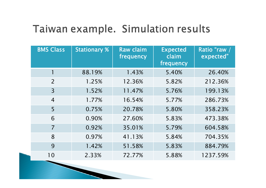#### Taiwan example. Simulation results

| <b>BMS Class</b> | <b>Stationary %</b> | <b>Raw claim</b><br>frequency | <b>Expected</b><br>claim<br>frequency | Ratio "raw /<br>expected" |
|------------------|---------------------|-------------------------------|---------------------------------------|---------------------------|
|                  | 88.19%              | 1.43%                         | 5.40%                                 | 26.40%                    |
| $\overline{2}$   | 1.25%               | 12.36%                        | 5.82%                                 | 212.36%                   |
| $\overline{3}$   | 1.52%               | 11.47%                        | 5.76%                                 | 199.13%                   |
| $\overline{4}$   | 1.77%               | 16.54%                        | 5.77%                                 | 286.73%                   |
| 5                | 0.75%               | 20.78%                        | 5.80%                                 | 358.23%                   |
| 6                | 0.90%               | 27.60%                        | 5.83%                                 | 473.38%                   |
| $\overline{7}$   | 0.92%               | 35.01%                        | 5.79%                                 | 604.58%                   |
| 8                | 0.97%               | 41.13%                        | 5.84%                                 | 704.35%                   |
| 9                | 1.42%               | 51.58%                        | 5.83%                                 | 884.79%                   |
| 10               | 2.33%               | 72.77%                        | 5.88%                                 | 1237.59%                  |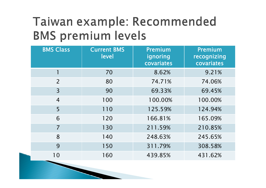## Taiwan example: Recommended **BMS premium levels**

| <b>BMS Class</b> | <b>Current BMS</b><br>level | Premium<br>ignoring<br>covariates | Premium<br>recognizing<br>covariates |
|------------------|-----------------------------|-----------------------------------|--------------------------------------|
|                  | 70                          | 8.62%                             | 9.21%                                |
| $\overline{2}$   | 80                          | 74.71%                            | 74.06%                               |
| $\overline{3}$   | 90                          | 69.33%                            | 69.45%                               |
| $\overline{4}$   | 100                         | 100.00%                           | 100.00%                              |
| 5                | 110                         | 125.59%                           | 124.94%                              |
| 6                | 120                         | 166.81%                           | 165.09%                              |
| $\overline{7}$   | 130                         | 211.59%                           | 210.85%                              |
| 8                | 140                         | 248.63%                           | 245.65%                              |
| 9                | 150                         | 311.79%                           | 308.58%                              |
| 10               | 160                         | 439.85%                           | 431.62%                              |